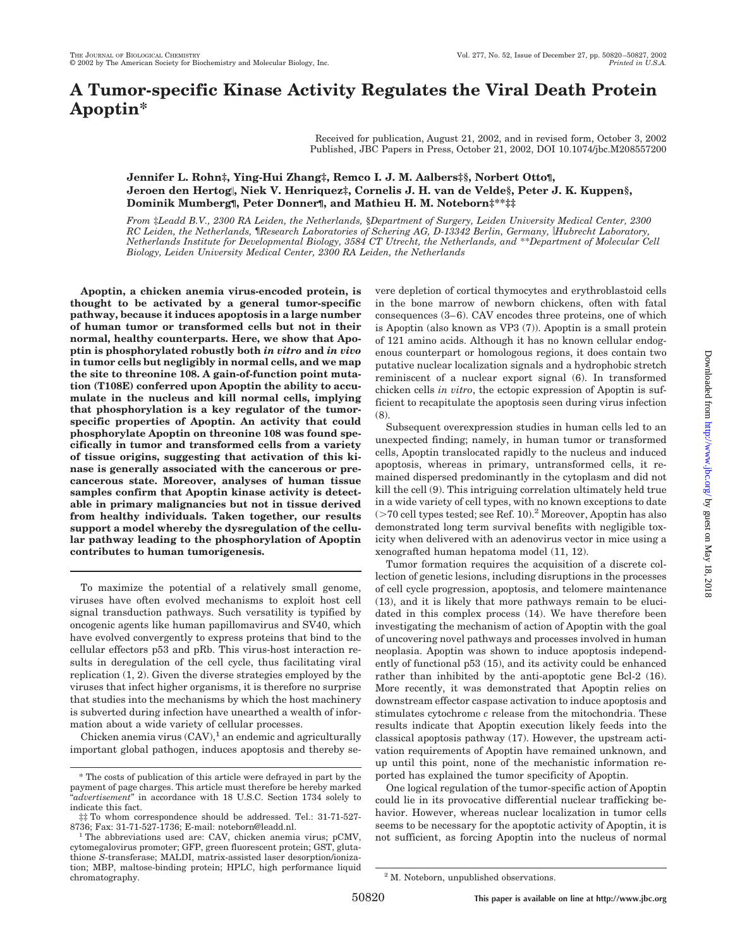# **A Tumor-specific Kinase Activity Regulates the Viral Death Protein Apoptin\***

Received for publication, August 21, 2002, and in revised form, October 3, 2002 Published, JBC Papers in Press, October 21, 2002, DOI 10.1074/jbc.M208557200

# **Jennifer L. Rohn‡, Ying-Hui Zhang‡, Remco I. J. M. Aalbers‡§, Norbert Otto¶, Jeroen den Hertog, Niek V. Henriquez‡, Cornelis J. H. van de Velde§, Peter J. K. Kuppen§, Dominik Mumberg¶, Peter Donner¶, and Mathieu H. M. Noteborn‡\*\*‡‡**

*From* ‡*Leadd B.V., 2300 RA Leiden, the Netherlands,* §*Department of Surgery, Leiden University Medical Center, 2300 RC Leiden, the Netherlands,* ¶*Research Laboratories of Schering AG, D-13342 Berlin, Germany, Hubrecht Laboratory, Netherlands Institute for Developmental Biology, 3584 CT Utrecht, the Netherlands, and* \*\**Department of Molecular Cell Biology, Leiden University Medical Center, 2300 RA Leiden, the Netherlands*

**Apoptin, a chicken anemia virus-encoded protein, is thought to be activated by a general tumor-specific pathway, because it induces apoptosis in a large number of human tumor or transformed cells but not in their normal, healthy counterparts. Here, we show that Apoptin is phosphorylated robustly both** *in vitro* **and** *in vivo* **in tumor cells but negligibly in normal cells, and we map the site to threonine 108. A gain-of-function point mutation (T108E) conferred upon Apoptin the ability to accumulate in the nucleus and kill normal cells, implying that phosphorylation is a key regulator of the tumorspecific properties of Apoptin. An activity that could phosphorylate Apoptin on threonine 108 was found specifically in tumor and transformed cells from a variety of tissue origins, suggesting that activation of this kinase is generally associated with the cancerous or precancerous state. Moreover, analyses of human tissue samples confirm that Apoptin kinase activity is detectable in primary malignancies but not in tissue derived from healthy individuals. Taken together, our results support a model whereby the dysregulation of the cellular pathway leading to the phosphorylation of Apoptin contributes to human tumorigenesis.**

To maximize the potential of a relatively small genome, viruses have often evolved mechanisms to exploit host cell signal transduction pathways. Such versatility is typified by oncogenic agents like human papillomavirus and SV40, which have evolved convergently to express proteins that bind to the cellular effectors p53 and pRb. This virus-host interaction results in deregulation of the cell cycle, thus facilitating viral replication (1, 2). Given the diverse strategies employed by the viruses that infect higher organisms, it is therefore no surprise that studies into the mechanisms by which the host machinery is subverted during infection have unearthed a wealth of information about a wide variety of cellular processes.

Chicken anemia virus  $(CAV)$ ,<sup>1</sup> an endemic and agriculturally important global pathogen, induces apoptosis and thereby severe depletion of cortical thymocytes and erythroblastoid cells in the bone marrow of newborn chickens, often with fatal consequences (3–6). CAV encodes three proteins, one of which is Apoptin (also known as VP3 (7)). Apoptin is a small protein of 121 amino acids. Although it has no known cellular endogenous counterpart or homologous regions, it does contain two putative nuclear localization signals and a hydrophobic stretch reminiscent of a nuclear export signal (6). In transformed chicken cells *in vitro*, the ectopic expression of Apoptin is sufficient to recapitulate the apoptosis seen during virus infection (8).

Subsequent overexpression studies in human cells led to an unexpected finding; namely, in human tumor or transformed cells, Apoptin translocated rapidly to the nucleus and induced apoptosis, whereas in primary, untransformed cells, it remained dispersed predominantly in the cytoplasm and did not kill the cell (9). This intriguing correlation ultimately held true in a wide variety of cell types, with no known exceptions to date  $(>70$  cell types tested; see Ref. 10).<sup>2</sup> Moreover, Apoptin has also demonstrated long term survival benefits with negligible toxicity when delivered with an adenovirus vector in mice using a xenografted human hepatoma model (11, 12).

Tumor formation requires the acquisition of a discrete collection of genetic lesions, including disruptions in the processes of cell cycle progression, apoptosis, and telomere maintenance (13), and it is likely that more pathways remain to be elucidated in this complex process (14). We have therefore been investigating the mechanism of action of Apoptin with the goal of uncovering novel pathways and processes involved in human neoplasia. Apoptin was shown to induce apoptosis independently of functional p53 (15), and its activity could be enhanced rather than inhibited by the anti-apoptotic gene Bcl-2 (16). More recently, it was demonstrated that Apoptin relies on downstream effector caspase activation to induce apoptosis and stimulates cytochrome *c* release from the mitochondria. These results indicate that Apoptin execution likely feeds into the classical apoptosis pathway (17). However, the upstream activation requirements of Apoptin have remained unknown, and up until this point, none of the mechanistic information reported has explained the tumor specificity of Apoptin.

One logical regulation of the tumor-specific action of Apoptin could lie in its provocative differential nuclear trafficking behavior. However, whereas nuclear localization in tumor cells seems to be necessary for the apoptotic activity of Apoptin, it is not sufficient, as forcing Apoptin into the nucleus of normal

<sup>\*</sup> The costs of publication of this article were defrayed in part by the payment of page charges. This article must therefore be hereby marked "*advertisement*" in accordance with 18 U.S.C. Section 1734 solely to indicate this fact.

<sup>‡‡</sup> To whom correspondence should be addressed. Tel.: 31-71-527-

<sup>&</sup>lt;sup>1</sup>The abbreviations used are: CAV, chicken anemia virus; pCMV, cytomegalovirus promoter; GFP, green fluorescent protein; GST, glutathione *S*-transferase; MALDI, matrix-assisted laser desorption/ionization; MBP, maltose-binding protein; HPLC, high performance liquid chromatography. 2 M. Noteborn, unpublished observations.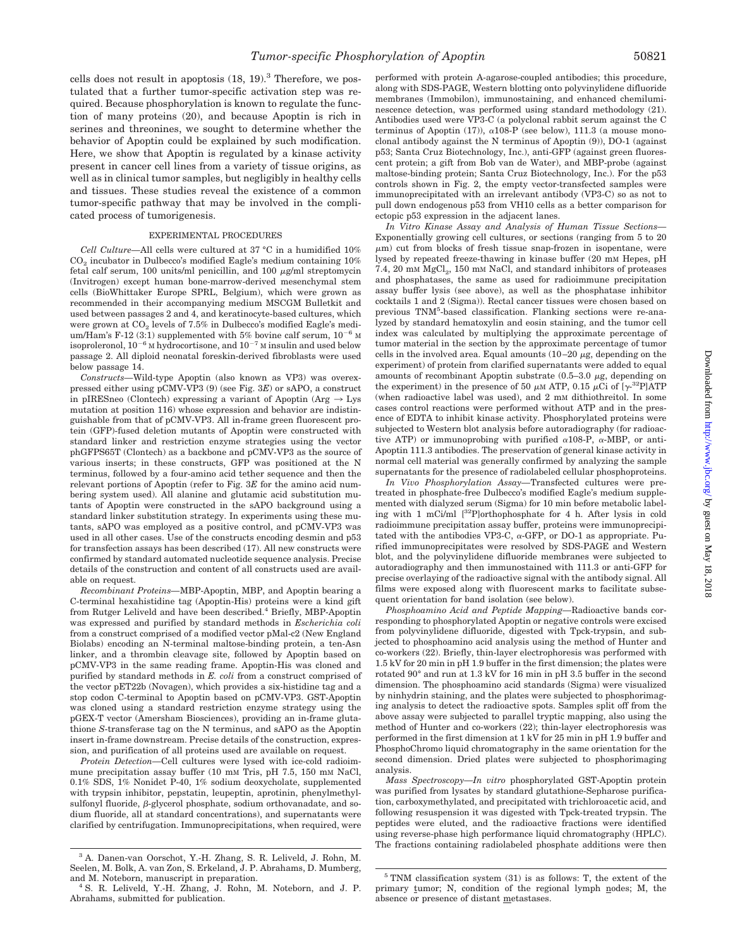cells does not result in apoptosis  $(18, 19)^3$ . Therefore, we postulated that a further tumor-specific activation step was required. Because phosphorylation is known to regulate the function of many proteins (20), and because Apoptin is rich in serines and threonines, we sought to determine whether the behavior of Apoptin could be explained by such modification.

Here, we show that Apoptin is regulated by a kinase activity present in cancer cell lines from a variety of tissue origins, as well as in clinical tumor samples, but negligibly in healthy cells and tissues. These studies reveal the existence of a common tumor-specific pathway that may be involved in the complicated process of tumorigenesis.

## EXPERIMENTAL PROCEDURES

*Cell Culture—*All cells were cultured at 37 °C in a humidified 10%  $CO<sub>2</sub>$  incubator in Dulbecco's modified Eagle's medium containing  $10\%$ fetal calf serum, 100 units/ml penicillin, and 100  $\mu$ g/ml streptomycin (Invitrogen) except human bone-marrow-derived mesenchymal stem cells (BioWhittaker Europe SPRL, Belgium), which were grown as recommended in their accompanying medium MSCGM Bulletkit and used between passages 2 and 4, and keratinocyte-based cultures, which were grown at  $CO<sub>2</sub>$  levels of 7.5% in Dulbecco's modified Eagle's medium/Ham's F-12 (3:1) supplemented with 5% bovine calf serum,  $10^{-6}$  M isoproleronol,  $10^{-6}$  M hydrocortisone, and  $10^{-7}$  M insulin and used below passage 2. All diploid neonatal foreskin-derived fibroblasts were used below passage 14.

*Constructs—*Wild-type Apoptin (also known as VP3) was overexpressed either using pCMV-VP3 (9) (see Fig. 3*E*) or sAPO, a construct in pIRESneo (Clontech) expressing a variant of Apoptin (Arg  $\rightarrow$  Lys mutation at position 116) whose expression and behavior are indistinguishable from that of pCMV-VP3. All in-frame green fluorescent protein (GFP)-fused deletion mutants of Apoptin were constructed with standard linker and restriction enzyme strategies using the vector phGFPS65T (Clontech) as a backbone and pCMV-VP3 as the source of various inserts; in these constructs, GFP was positioned at the N terminus, followed by a four-amino acid tether sequence and then the relevant portions of Apoptin (refer to Fig. 3*E* for the amino acid numbering system used). All alanine and glutamic acid substitution mutants of Apoptin were constructed in the sAPO background using a standard linker substitution strategy. In experiments using these mutants, sAPO was employed as a positive control, and pCMV-VP3 was used in all other cases. Use of the constructs encoding desmin and p53 for transfection assays has been described (17). All new constructs were confirmed by standard automated nucleotide sequence analysis. Precise details of the construction and content of all constructs used are available on request.

*Recombinant Proteins—*MBP-Apoptin, MBP, and Apoptin bearing a C-terminal hexahistidine tag (Apoptin-His) proteins were a kind gift from Rutger Leliveld and have been described.<sup>4</sup> Briefly, MBP-Apoptin was expressed and purified by standard methods in *Escherichia coli* from a construct comprised of a modified vector pMal-c2 (New England Biolabs) encoding an N-terminal maltose-binding protein, a ten-Asn linker, and a thrombin cleavage site, followed by Apoptin based on pCMV-VP3 in the same reading frame. Apoptin-His was cloned and purified by standard methods in *E. coli* from a construct comprised of the vector pET22b (Novagen), which provides a six-histidine tag and a stop codon C-terminal to Apoptin based on pCMV-VP3. GST-Apoptin was cloned using a standard restriction enzyme strategy using the pGEX-T vector (Amersham Biosciences), providing an in-frame glutathione *S*-transferase tag on the N terminus, and sAPO as the Apoptin insert in-frame downstream. Precise details of the construction, expression, and purification of all proteins used are available on request.

*Protein Detection—*Cell cultures were lysed with ice-cold radioimmune precipitation assay buffer (10 mM Tris, pH 7.5, 150 mM NaCl, 0.1% SDS, 1% Nonidet P-40, 1% sodium deoxycholate, supplemented with trypsin inhibitor, pepstatin, leupeptin, aprotinin, phenylmethyl $s$ ulfonyl fluoride,  $\beta$ -glycerol phosphate, sodium orthovanadate, and sodium fluoride, all at standard concentrations), and supernatants were clarified by centrifugation. Immunoprecipitations, when required, were

performed with protein A-agarose-coupled antibodies; this procedure, along with SDS-PAGE, Western blotting onto polyvinylidene difluoride membranes (Immobilon), immunostaining, and enhanced chemiluminescence detection, was performed using standard methodology (21). Antibodies used were VP3-C (a polyclonal rabbit serum against the C terminus of Apoptin (17)),  $\alpha$ 108-P (see below), 111.3 (a mouse monoclonal antibody against the N terminus of Apoptin (9)), DO-1 (against p53; Santa Cruz Biotechnology, Inc.), anti-GFP (against green fluorescent protein; a gift from Bob van de Water), and MBP-probe (against maltose-binding protein; Santa Cruz Biotechnology, Inc.). For the p53 controls shown in Fig. 2, the empty vector-transfected samples were immunoprecipitated with an irrelevant antibody (VP3-C) so as not to pull down endogenous p53 from VH10 cells as a better comparison for ectopic p53 expression in the adjacent lanes.

*In Vitro Kinase Assay and Analysis of Human Tissue Sections—* Exponentially growing cell cultures, or sections (ranging from 5 to 20  $\mu$ m) cut from blocks of fresh tissue snap-frozen in isopentane, were lysed by repeated freeze-thawing in kinase buffer (20 mM Hepes, pH 7.4, 20 mm MgCl<sub>2</sub>, 150 mm NaCl, and standard inhibitors of proteases and phosphatases, the same as used for radioimmune precipitation assay buffer lysis (see above), as well as the phosphatase inhibitor cocktails 1 and 2 (Sigma)). Rectal cancer tissues were chosen based on previous TNM5 -based classification. Flanking sections were re-analyzed by standard hematoxylin and eosin staining, and the tumor cell index was calculated by multiplying the approximate percentage of tumor material in the section by the approximate percentage of tumor cells in the involved area. Equal amounts  $(10-20 \mu g,$  depending on the experiment) of protein from clarified supernatants were added to equal amounts of recombinant Apoptin substrate  $(0.5-3.0 \mu g,$  depending on the experiment) in the presence of 50  $\mu$ M ATP, 0.15  $\mu$ Ci of [ $\gamma$ -<sup>32</sup>P]ATP (when radioactive label was used), and 2 mM dithiothreitol. In some cases control reactions were performed without ATP and in the presence of EDTA to inhibit kinase activity. Phosphorylated proteins were subjected to Western blot analysis before autoradiography (for radioactive ATP) or immunoprobing with purified  $\alpha$ 108-P,  $\alpha$ -MBP, or anti-Apoptin 111.3 antibodies. The preservation of general kinase activity in normal cell material was generally confirmed by analyzing the sample supernatants for the presence of radiolabeled cellular phosphoproteins.

*In Vivo Phosphorylation Assay—*Transfected cultures were pretreated in phosphate-free Dulbecco's modified Eagle's medium supplemented with dialyzed serum (Sigma) for 10 min before metabolic labeling with 1 mCi/ml [32P]orthophosphate for 4 h. After lysis in cold radioimmune precipitation assay buffer, proteins were immunoprecipitated with the antibodies VP3-C,  $\alpha$ -GFP, or DO-1 as appropriate. Purified immunoprecipitates were resolved by SDS-PAGE and Western blot, and the polyvinylidene difluoride membranes were subjected to autoradiography and then immunostained with 111.3 or anti-GFP for precise overlaying of the radioactive signal with the antibody signal. All films were exposed along with fluorescent marks to facilitate subsequent orientation for band isolation (see below).

*Phosphoamino Acid and Peptide Mapping—*Radioactive bands corresponding to phosphorylated Apoptin or negative controls were excised from polyvinylidene difluoride, digested with Tpck-trypsin, and subjected to phosphoamino acid analysis using the method of Hunter and co-workers (22). Briefly, thin-layer electrophoresis was performed with 1.5 kV for 20 min in pH 1.9 buffer in the first dimension; the plates were rotated 90° and run at 1.3 kV for 16 min in pH 3.5 buffer in the second dimension. The phosphoamino acid standards (Sigma) were visualized by ninhydrin staining, and the plates were subjected to phosphorimaging analysis to detect the radioactive spots. Samples split off from the above assay were subjected to parallel tryptic mapping, also using the method of Hunter and co-workers (22); thin-layer electrophoresis was performed in the first dimension at 1 kV for 25 min in pH 1.9 buffer and PhosphoChromo liquid chromatography in the same orientation for the second dimension. Dried plates were subjected to phosphorimaging analysis.

*Mass Spectroscopy—In vitro* phosphorylated GST-Apoptin protein was purified from lysates by standard glutathione-Sepharose purification, carboxymethylated, and precipitated with trichloroacetic acid, and following resuspension it was digested with Tpck-treated trypsin. The peptides were eluted, and the radioactive fractions were identified using reverse-phase high performance liquid chromatography (HPLC). The fractions containing radiolabeled phosphate additions were then

<sup>3</sup> A. Danen-van Oorschot, Y.-H. Zhang, S. R. Leliveld, J. Rohn, M. Seelen, M. Bolk, A. van Zon, S. Erkeland, J. P. Abrahams, D. Mumberg, and M. Noteborn, manuscript in preparation. <sup>4</sup> S. R. Leliveld, Y.-H. Zhang, J. Rohn, M. Noteborn, and J. P.

Abrahams, submitted for publication.

 $5$  TNM classification system (31) is as follows: T, the extent of the primary tumor; N, condition of the regional lymph nodes; M, the absence or presence of distant metastases.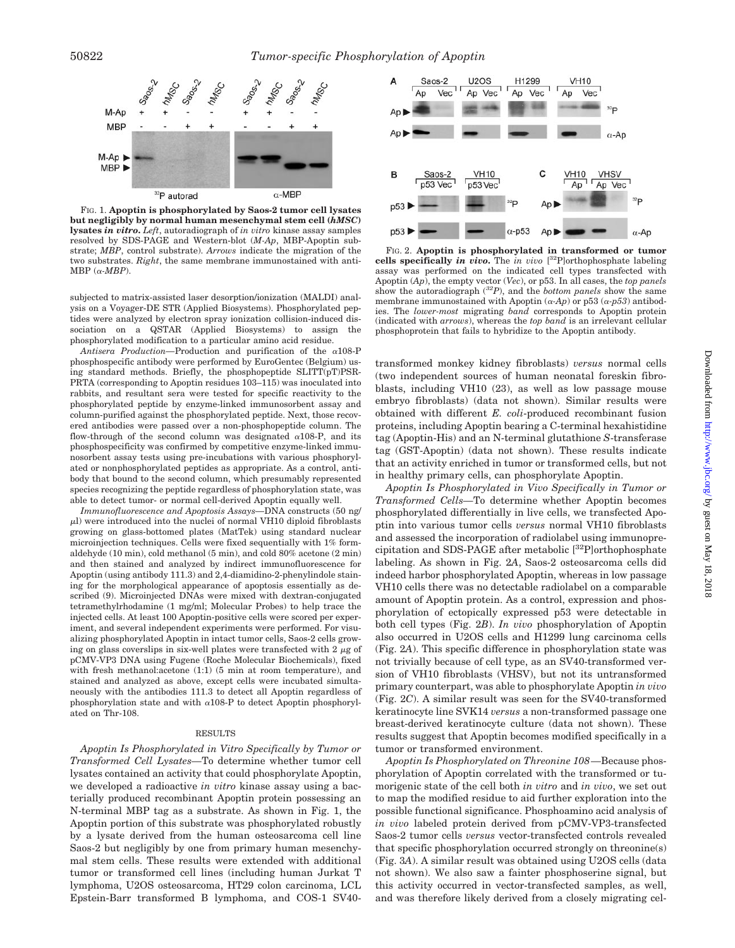

FIG. 1. **Apoptin is phosphorylated by Saos-2 tumor cell lysates but negligibly by normal human mesenchymal stem cell (***hMSC***) lysates** *in vitro***.** *Left*, autoradiograph of *in vitro* kinase assay samples resolved by SDS-PAGE and Western-blot (*M-Ap*, MBP-Apoptin substrate; *MBP*, control substrate). *Arrows* indicate the migration of the two substrates. *Right*, the same membrane immunostained with anti- $MBP (\alpha \cdot MBP)$ .

subjected to matrix-assisted laser desorption/ionization (MALDI) analysis on a Voyager-DE STR (Applied Biosystems). Phosphorylated peptides were analyzed by electron spray ionization collision-induced dissociation on a QSTAR (Applied Biosystems) to assign the phosphorylated modification to a particular amino acid residue.

*Antisera Production*—Production and purification of the  $\alpha$ 108-P phosphospecific antibody were performed by EuroGentec (Belgium) using standard methods. Briefly, the phosphopeptide SLITT(pT)PSR-PRTA (corresponding to Apoptin residues 103–115) was inoculated into rabbits, and resultant sera were tested for specific reactivity to the phosphorylated peptide by enzyme-linked immunosorbent assay and column-purified against the phosphorylated peptide. Next, those recovered antibodies were passed over a non-phosphopeptide column. The flow-through of the second column was designated  $\alpha$ 108-P, and its phosphospecificity was confirmed by competitive enzyme-linked immunosorbent assay tests using pre-incubations with various phosphorylated or nonphosphorylated peptides as appropriate. As a control, antibody that bound to the second column, which presumably represented species recognizing the peptide regardless of phosphorylation state, was able to detect tumor- or normal cell-derived Apoptin equally well.

*Immunofluorescence and Apoptosis Assays—*DNA constructs (50 ng/  $\mu$ l) were introduced into the nuclei of normal VH10 diploid fibroblasts growing on glass-bottomed plates (MatTek) using standard nuclear microinjection techniques. Cells were fixed sequentially with 1% formaldehyde (10 min), cold methanol (5 min), and cold 80% acetone (2 min) and then stained and analyzed by indirect immunofluorescence for Apoptin (using antibody 111.3) and 2,4-diamidino-2-phenylindole staining for the morphological appearance of apoptosis essentially as described (9). Microinjected DNAs were mixed with dextran-conjugated tetramethylrhodamine (1 mg/ml; Molecular Probes) to help trace the injected cells. At least 100 Apoptin-positive cells were scored per experiment, and several independent experiments were performed. For visualizing phosphorylated Apoptin in intact tumor cells, Saos-2 cells growing on glass coverslips in six-well plates were transfected with  $2 \mu g$  of pCMV-VP3 DNA using Fugene (Roche Molecular Biochemicals), fixed with fresh methanol:acetone (1:1) (5 min at room temperature), and stained and analyzed as above, except cells were incubated simultaneously with the antibodies 111.3 to detect all Apoptin regardless of phosphorylation state and with  $\alpha$ 108-P to detect Apoptin phosphorylated on Thr-108.

#### RESULTS

*Apoptin Is Phosphorylated in Vitro Specifically by Tumor or Transformed Cell Lysates—*To determine whether tumor cell lysates contained an activity that could phosphorylate Apoptin, we developed a radioactive *in vitro* kinase assay using a bacterially produced recombinant Apoptin protein possessing an N-terminal MBP tag as a substrate. As shown in Fig. 1, the Apoptin portion of this substrate was phosphorylated robustly by a lysate derived from the human osteosarcoma cell line Saos-2 but negligibly by one from primary human mesenchymal stem cells. These results were extended with additional tumor or transformed cell lines (including human Jurkat T lymphoma, U2OS osteosarcoma, HT29 colon carcinoma, LCL Epstein-Barr transformed B lymphoma, and COS-1 SV40-



FIG. 2. **Apoptin is phosphorylated in transformed or tumor cells specifically** *in vivo***.** The *in vivo* [ 32P]orthophosphate labeling assay was performed on the indicated cell types transfected with Apoptin (*Ap*), the empty vector (*Vec*), or p53. In all cases, the *top panels* show the autoradiograph (*32P*), and the *bottom panels* show the same membrane immunostained with Apoptin  $(\alpha$ -Ap) or p53  $(\alpha$ -p53) antibodies. The *lower-most* migrating *band* corresponds to Apoptin protein (indicated with *arrows*), whereas the *top band* is an irrelevant cellular phosphoprotein that fails to hybridize to the Apoptin antibody.

transformed monkey kidney fibroblasts) *versus* normal cells (two independent sources of human neonatal foreskin fibroblasts, including VH10 (23), as well as low passage mouse embryo fibroblasts) (data not shown). Similar results were obtained with different *E. coli*-produced recombinant fusion proteins, including Apoptin bearing a C-terminal hexahistidine tag (Apoptin-His) and an N-terminal glutathione *S*-transferase tag (GST-Apoptin) (data not shown). These results indicate that an activity enriched in tumor or transformed cells, but not in healthy primary cells, can phosphorylate Apoptin.

*Apoptin Is Phosphorylated in Vivo Specifically in Tumor or Transformed Cells—*To determine whether Apoptin becomes phosphorylated differentially in live cells, we transfected Apoptin into various tumor cells *versus* normal VH10 fibroblasts and assessed the incorporation of radiolabel using immunoprecipitation and SDS-PAGE after metabolic [32P]orthophosphate labeling. As shown in Fig. 2*A*, Saos-2 osteosarcoma cells did indeed harbor phosphorylated Apoptin, whereas in low passage VH10 cells there was no detectable radiolabel on a comparable amount of Apoptin protein. As a control, expression and phosphorylation of ectopically expressed p53 were detectable in both cell types (Fig. 2*B*). *In vivo* phosphorylation of Apoptin also occurred in U2OS cells and H1299 lung carcinoma cells (Fig. 2*A*). This specific difference in phosphorylation state was not trivially because of cell type, as an SV40-transformed version of VH10 fibroblasts (VHSV), but not its untransformed primary counterpart, was able to phosphorylate Apoptin *in vivo* (Fig. 2*C*). A similar result was seen for the SV40-transformed keratinocyte line SVK14 *versus* a non-transformed passage one breast-derived keratinocyte culture (data not shown). These results suggest that Apoptin becomes modified specifically in a tumor or transformed environment.

*Apoptin Is Phosphorylated on Threonine 108—*Because phosphorylation of Apoptin correlated with the transformed or tumorigenic state of the cell both *in vitro* and *in vivo*, we set out to map the modified residue to aid further exploration into the possible functional significance. Phosphoamino acid analysis of *in vivo* labeled protein derived from pCMV-VP3-transfected Saos-2 tumor cells *versus* vector-transfected controls revealed that specific phosphorylation occurred strongly on threonine(s) (Fig. 3*A*). A similar result was obtained using U2OS cells (data not shown). We also saw a fainter phosphoserine signal, but this activity occurred in vector-transfected samples, as well, and was therefore likely derived from a closely migrating cel-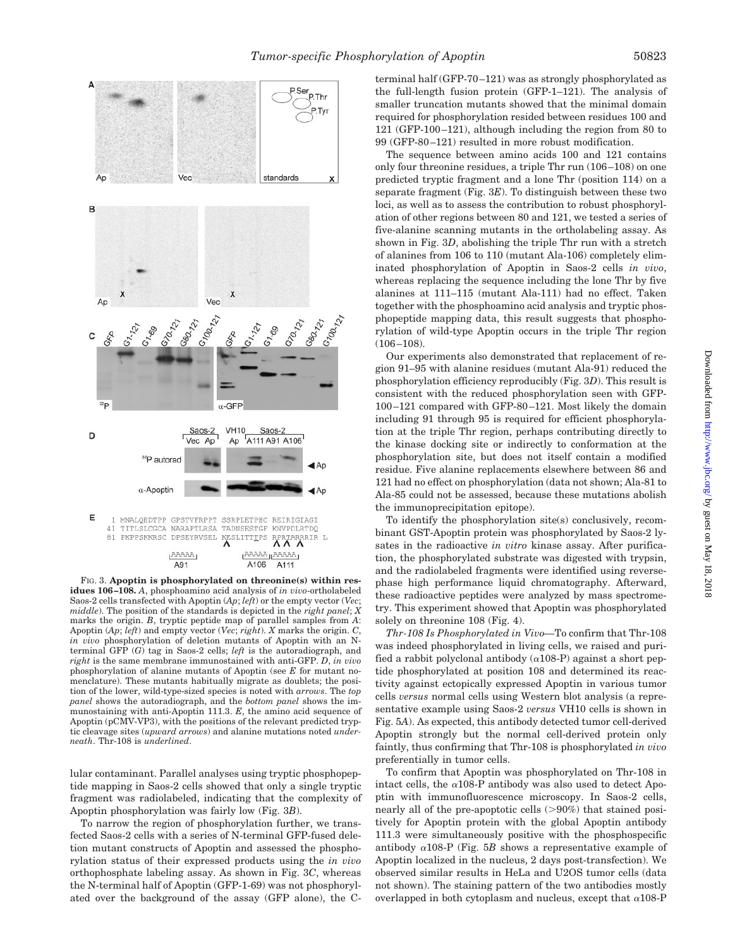

FIG. 3. **Apoptin is phosphorylated on threonine(s) within residues 106–108.** *A*, phosphoamino acid analysis of *in vivo*-ortholabeled Saos-2 cells transfected with Apoptin (*Ap*; *left*) or the empty vector (*Vec*; *middle*). The position of the standards is depicted in the *right panel*; *X* marks the origin. *B*, tryptic peptide map of parallel samples from *A*: Apoptin (*Ap*; *left*) and empty vector (*Vec*; *right*). *X* marks the origin. *C*, *in vivo* phosphorylation of deletion mutants of Apoptin with an Nterminal GFP (*G*) tag in Saos-2 cells; *left* is the autoradiograph, and *right* is the same membrane immunostained with anti-GFP. *D*, *in vivo* phosphorylation of alanine mutants of Apoptin (see *E* for mutant nomenclature). These mutants habitually migrate as doublets; the position of the lower, wild-type-sized species is noted with *arrows*. The *top panel* shows the autoradiograph, and the *bottom panel* shows the immunostaining with anti-Apoptin 111.3. *E*, the amino acid sequence of Apoptin (pCMV-VP3), with the positions of the relevant predicted tryptic cleavage sites (*upward arrows*) and alanine mutations noted *underneath*. Thr-108 is *underlined*.

lular contaminant. Parallel analyses using tryptic phosphopeptide mapping in Saos-2 cells showed that only a single tryptic fragment was radiolabeled, indicating that the complexity of Apoptin phosphorylation was fairly low (Fig. 3*B*).

To narrow the region of phosphorylation further, we transfected Saos-2 cells with a series of N-terminal GFP-fused deletion mutant constructs of Apoptin and assessed the phosphorylation status of their expressed products using the *in vivo* orthophosphate labeling assay. As shown in Fig. 3*C*, whereas the N-terminal half of Apoptin (GFP-1-69) was not phosphorylated over the background of the assay (GFP alone), the C-

terminal half (GFP-70–121) was as strongly phosphorylated as the full-length fusion protein (GFP-1–121). The analysis of smaller truncation mutants showed that the minimal domain required for phosphorylation resided between residues 100 and 121 (GFP-100–121), although including the region from 80 to 99 (GFP-80–121) resulted in more robust modification.

The sequence between amino acids 100 and 121 contains only four threonine residues, a triple Thr run (106–108) on one predicted tryptic fragment and a lone Thr (position 114) on a separate fragment (Fig. 3*E*). To distinguish between these two loci, as well as to assess the contribution to robust phosphorylation of other regions between 80 and 121, we tested a series of five-alanine scanning mutants in the ortholabeling assay. As shown in Fig. 3*D*, abolishing the triple Thr run with a stretch of alanines from 106 to 110 (mutant Ala-106) completely eliminated phosphorylation of Apoptin in Saos-2 cells *in vivo*, whereas replacing the sequence including the lone Thr by five alanines at 111–115 (mutant Ala-111) had no effect. Taken together with the phosphoamino acid analysis and tryptic phosphopeptide mapping data, this result suggests that phosphorylation of wild-type Apoptin occurs in the triple Thr region (106–108).

Our experiments also demonstrated that replacement of region 91–95 with alanine residues (mutant Ala-91) reduced the phosphorylation efficiency reproducibly (Fig. 3*D*). This result is consistent with the reduced phosphorylation seen with GFP-100–121 compared with GFP-80–121. Most likely the domain including 91 through 95 is required for efficient phosphorylation at the triple Thr region, perhaps contributing directly to the kinase docking site or indirectly to conformation at the phosphorylation site, but does not itself contain a modified residue. Five alanine replacements elsewhere between 86 and 121 had no effect on phosphorylation (data not shown; Ala-81 to Ala-85 could not be assessed, because these mutations abolish the immunoprecipitation epitope).

To identify the phosphorylation site(s) conclusively, recombinant GST-Apoptin protein was phosphorylated by Saos-2 lysates in the radioactive *in vitro* kinase assay. After purification, the phosphorylated substrate was digested with trypsin, and the radiolabeled fragments were identified using reversephase high performance liquid chromatography. Afterward, these radioactive peptides were analyzed by mass spectrometry. This experiment showed that Apoptin was phosphorylated solely on threonine 108 (Fig. 4).

*Thr-108 Is Phosphorylated in Vivo—*To confirm that Thr-108 was indeed phosphorylated in living cells, we raised and purified a rabbit polyclonal antibody  $(\alpha 108-P)$  against a short peptide phosphorylated at position 108 and determined its reactivity against ectopically expressed Apoptin in various tumor cells *versus* normal cells using Western blot analysis (a representative example using Saos-2 *versus* VH10 cells is shown in Fig. 5*A*). As expected, this antibody detected tumor cell-derived Apoptin strongly but the normal cell-derived protein only faintly, thus confirming that Thr-108 is phosphorylated *in vivo* preferentially in tumor cells.

To confirm that Apoptin was phosphorylated on Thr-108 in intact cells, the  $\alpha$ 108-P antibody was also used to detect Apoptin with immunofluorescence microscopy. In Saos-2 cells, nearly all of the pre-apoptotic cells  $(>90%)$  that stained positively for Apoptin protein with the global Apoptin antibody 111.3 were simultaneously positive with the phosphospecific antibody  $\alpha$ 108-P (Fig. 5*B* shows a representative example of Apoptin localized in the nucleus, 2 days post-transfection). We observed similar results in HeLa and U2OS tumor cells (data not shown). The staining pattern of the two antibodies mostly overlapped in both cytoplasm and nucleus, except that  $\alpha$ 108-P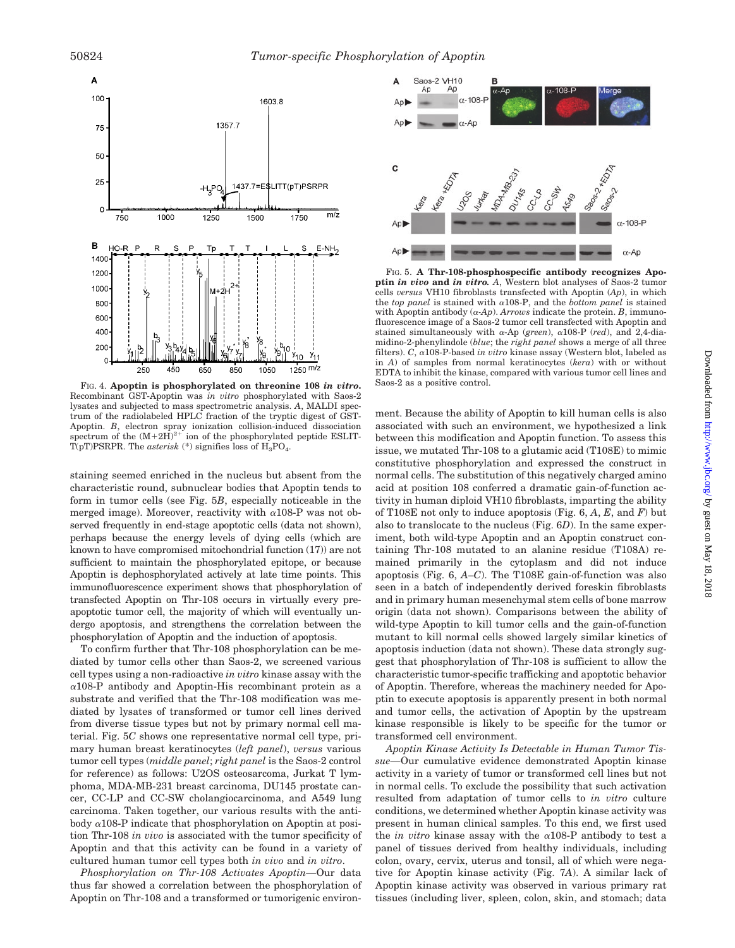

FIG. 4. **Apoptin is phosphorylated on threonine 108** *in vitro*. Saos-2 as a positive control. Recombinant GST-Apoptin was *in vitro* phosphorylated with Saos-2 lysates and subjected to mass spectrometric analysis. *A*, MALDI spectrum of the radiolabeled HPLC fraction of the tryptic digest of GST-Apoptin. *B*, electron spray ionization collision-induced dissociation spectrum of the  $(M+2H)^{2+}$  ion of the phosphorylated peptide ESLIT- $\overline{T}(pT)$ PSRPR. The *asterisk* (\*) signifies loss of  $\overline{H}_3PO_4$ .

staining seemed enriched in the nucleus but absent from the characteristic round, subnuclear bodies that Apoptin tends to form in tumor cells (see Fig. 5*B*, especially noticeable in the merged image). Moreover, reactivity with  $\alpha$ 108-P was not observed frequently in end-stage apoptotic cells (data not shown), perhaps because the energy levels of dying cells (which are known to have compromised mitochondrial function (17)) are not sufficient to maintain the phosphorylated epitope, or because Apoptin is dephosphorylated actively at late time points. This immunofluorescence experiment shows that phosphorylation of transfected Apoptin on Thr-108 occurs in virtually every preapoptotic tumor cell, the majority of which will eventually undergo apoptosis, and strengthens the correlation between the phosphorylation of Apoptin and the induction of apoptosis.

To confirm further that Thr-108 phosphorylation can be mediated by tumor cells other than Saos-2, we screened various cell types using a non-radioactive *in vitro* kinase assay with the  $\alpha$ 108-P antibody and Apoptin-His recombinant protein as a substrate and verified that the Thr-108 modification was mediated by lysates of transformed or tumor cell lines derived from diverse tissue types but not by primary normal cell material. Fig. 5*C* shows one representative normal cell type, primary human breast keratinocytes (*left panel*), *versus* various tumor cell types (*middle panel*; *right panel* is the Saos-2 control for reference) as follows: U2OS osteosarcoma, Jurkat T lymphoma, MDA-MB-231 breast carcinoma, DU145 prostate cancer, CC-LP and CC-SW cholangiocarcinoma, and A549 lung carcinoma. Taken together, our various results with the antibody  $\alpha$ 108-P indicate that phosphorylation on Apoptin at position Thr-108 *in vivo* is associated with the tumor specificity of Apoptin and that this activity can be found in a variety of cultured human tumor cell types both *in vivo* and *in vitro*.

*Phosphorylation on Thr-108 Activates Apoptin—*Our data thus far showed a correlation between the phosphorylation of Apoptin on Thr-108 and a transformed or tumorigenic environ-



FIG. 5. **A Thr-108-phosphospecific antibody recognizes Apoptin** *in vivo* **and** *in vitro. A*, Western blot analyses of Saos-2 tumor cells *versus* VH10 fibroblasts transfected with Apoptin (*Ap*), in which the *top panel* is stained with  $\alpha$ 108-P, and the *bottom panel* is stained with Apoptin antibody  $(\alpha \cdot Ap)$ . *Arrows* indicate the protein. *B*, immunofluorescence image of a Saos-2 tumor cell transfected with Apoptin and stained simultaneously with  $\alpha$ -Ap (*green*),  $\alpha$ 108-P (*red*), and 2,4-diamidino-2-phenylindole (*blue*; the *right panel* shows a merge of all three filters).  $C$ ,  $\alpha$ 108-P-based *in vitro* kinase assay (Western blot, labeled as in *A*) of samples from normal keratinocytes (*kera*) with or without EDTA to inhibit the kinase, compared with various tumor cell lines and

ment. Because the ability of Apoptin to kill human cells is also associated with such an environment, we hypothesized a link between this modification and Apoptin function. To assess this issue, we mutated Thr-108 to a glutamic acid (T108E) to mimic constitutive phosphorylation and expressed the construct in normal cells. The substitution of this negatively charged amino acid at position 108 conferred a dramatic gain-of-function activity in human diploid VH10 fibroblasts, imparting the ability of T108E not only to induce apoptosis (Fig. 6, *A*, *E*, and *F*) but also to translocate to the nucleus (Fig. 6*D*). In the same experiment, both wild-type Apoptin and an Apoptin construct containing Thr-108 mutated to an alanine residue (T108A) remained primarily in the cytoplasm and did not induce apoptosis (Fig. 6, *A*–*C*). The T108E gain-of-function was also seen in a batch of independently derived foreskin fibroblasts and in primary human mesenchymal stem cells of bone marrow origin (data not shown). Comparisons between the ability of wild-type Apoptin to kill tumor cells and the gain-of-function mutant to kill normal cells showed largely similar kinetics of apoptosis induction (data not shown). These data strongly suggest that phosphorylation of Thr-108 is sufficient to allow the characteristic tumor-specific trafficking and apoptotic behavior of Apoptin. Therefore, whereas the machinery needed for Apoptin to execute apoptosis is apparently present in both normal and tumor cells, the activation of Apoptin by the upstream kinase responsible is likely to be specific for the tumor or transformed cell environment.

*Apoptin Kinase Activity Is Detectable in Human Tumor Tissue—*Our cumulative evidence demonstrated Apoptin kinase activity in a variety of tumor or transformed cell lines but not in normal cells. To exclude the possibility that such activation resulted from adaptation of tumor cells to *in vitro* culture conditions, we determined whether Apoptin kinase activity was present in human clinical samples. To this end, we first used the *in vitro* kinase assay with the  $\alpha$ 108-P antibody to test a panel of tissues derived from healthy individuals, including colon, ovary, cervix, uterus and tonsil, all of which were negative for Apoptin kinase activity (Fig. 7*A*). A similar lack of Apoptin kinase activity was observed in various primary rat tissues (including liver, spleen, colon, skin, and stomach; data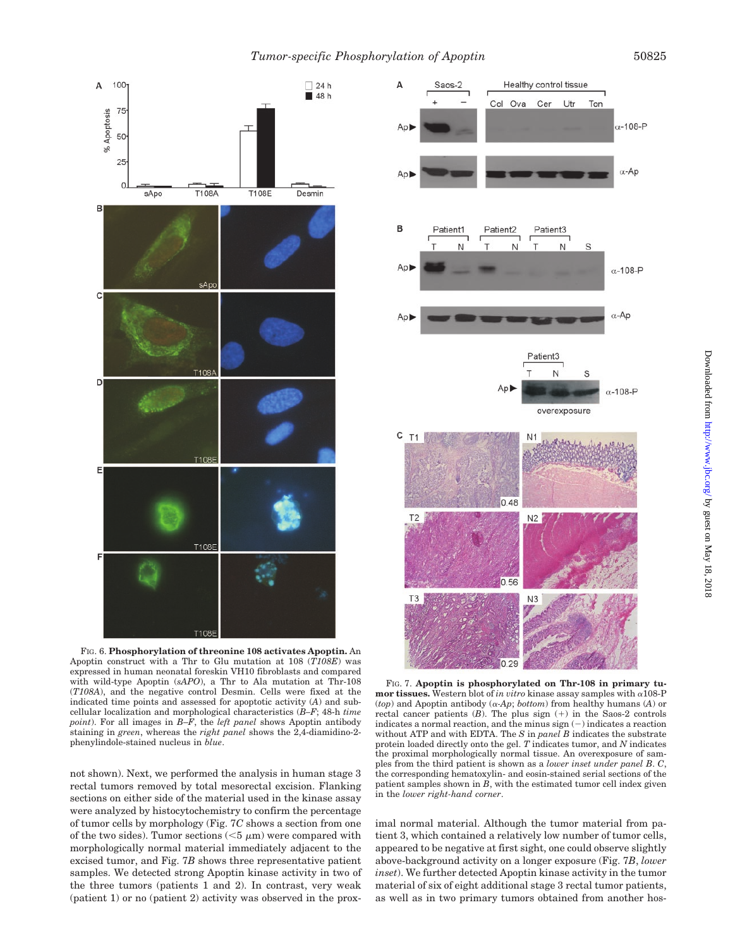

FIG. 6. **Phosphorylation of threonine 108 activates Apoptin.** An Apoptin construct with a Thr to Glu mutation at 108 (*T108E*) was expressed in human neonatal foreskin VH10 fibroblasts and compared with wild-type Apoptin (*sAPO*), a Thr to Ala mutation at Thr-108 (*T108A*), and the negative control Desmin. Cells were fixed at the indicated time points and assessed for apoptotic activity (*A*) and subcellular localization and morphological characteristics (*B–F*; 48-h *time point*). For all images in *B*–*F*, the *left panel* shows Apoptin antibody staining in *green*, whereas the *right panel* shows the 2,4-diamidino-2 phenylindole-stained nucleus in *blue*.

not shown). Next, we performed the analysis in human stage 3 rectal tumors removed by total mesorectal excision. Flanking sections on either side of the material used in the kinase assay were analyzed by histocytochemistry to confirm the percentage of tumor cells by morphology (Fig. 7*C* shows a section from one of the two sides). Tumor sections  $(<5 \mu m)$  were compared with morphologically normal material immediately adjacent to the excised tumor, and Fig. 7*B* shows three representative patient samples. We detected strong Apoptin kinase activity in two of the three tumors (patients 1 and 2). In contrast, very weak (patient 1) or no (patient 2) activity was observed in the prox-



FIG. 7. **Apoptin is phosphorylated on Thr-108 in primary tumor tissues.** Western blot of *in vitro* kinase assay samples with  $\alpha$ 108-P ( $top$ ) and Apoptin antibody ( $\alpha$ -Ap;  $bottom$ ) from healthy humans (A) or rectal cancer patients  $(B)$ . The plus sign  $(+)$  in the Saos-2 controls indicates a normal reaction, and the minus  $sign(-)$  indicates a reaction without ATP and with EDTA. The *S* in *panel B* indicates the substrate protein loaded directly onto the gel. *T* indicates tumor, and *N* indicates the proximal morphologically normal tissue. An overexposure of samples from the third patient is shown as a *lower inset under panel B*. *C*, the corresponding hematoxylin- and eosin-stained serial sections of the patient samples shown in *B*, with the estimated tumor cell index given in the *lower right-hand corner*.

imal normal material. Although the tumor material from patient 3, which contained a relatively low number of tumor cells, appeared to be negative at first sight, one could observe slightly above-background activity on a longer exposure (Fig. 7*B*, *lower inset*). We further detected Apoptin kinase activity in the tumor material of six of eight additional stage 3 rectal tumor patients, as well as in two primary tumors obtained from another hos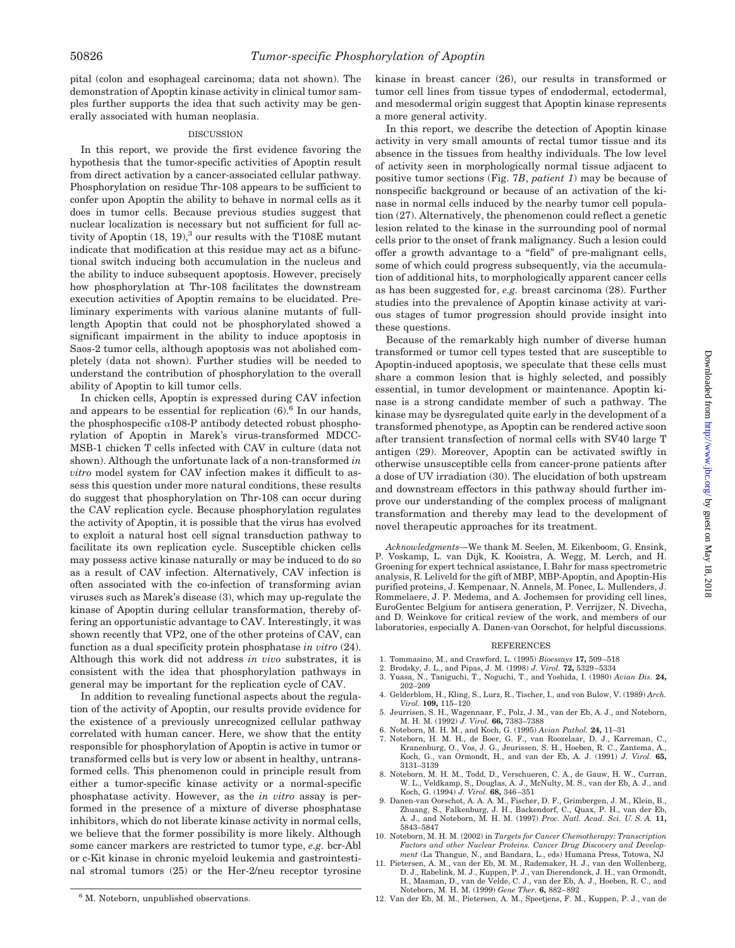pital (colon and esophageal carcinoma; data not shown). The demonstration of Apoptin kinase activity in clinical tumor samples further supports the idea that such activity may be generally associated with human neoplasia.

### DISCUSSION

In this report, we provide the first evidence favoring the hypothesis that the tumor-specific activities of Apoptin result from direct activation by a cancer-associated cellular pathway. Phosphorylation on residue Thr-108 appears to be sufficient to confer upon Apoptin the ability to behave in normal cells as it does in tumor cells. Because previous studies suggest that nuclear localization is necessary but not sufficient for full activity of Apoptin  $(18, 19)$ ,<sup>3</sup> our results with the T108E mutant indicate that modification at this residue may act as a bifunctional switch inducing both accumulation in the nucleus and the ability to induce subsequent apoptosis. However, precisely how phosphorylation at Thr-108 facilitates the downstream execution activities of Apoptin remains to be elucidated. Preliminary experiments with various alanine mutants of fulllength Apoptin that could not be phosphorylated showed a significant impairment in the ability to induce apoptosis in Saos-2 tumor cells, although apoptosis was not abolished completely (data not shown). Further studies will be needed to understand the contribution of phosphorylation to the overall ability of Apoptin to kill tumor cells.

In chicken cells, Apoptin is expressed during CAV infection and appears to be essential for replication  $(6)$ .<sup>6</sup> In our hands, the phosphospecific  $\alpha$ 108-P antibody detected robust phosphorylation of Apoptin in Marek's virus-transformed MDCC-MSB-1 chicken T cells infected with CAV in culture (data not shown). Although the unfortunate lack of a non-transformed *in vitro* model system for CAV infection makes it difficult to assess this question under more natural conditions, these results do suggest that phosphorylation on Thr-108 can occur during the CAV replication cycle. Because phosphorylation regulates the activity of Apoptin, it is possible that the virus has evolved to exploit a natural host cell signal transduction pathway to facilitate its own replication cycle. Susceptible chicken cells may possess active kinase naturally or may be induced to do so as a result of CAV infection. Alternatively, CAV infection is often associated with the co-infection of transforming avian viruses such as Marek's disease (3), which may up-regulate the kinase of Apoptin during cellular transformation, thereby offering an opportunistic advantage to CAV. Interestingly, it was shown recently that VP2, one of the other proteins of CAV, can function as a dual specificity protein phosphatase *in vitro* (24). Although this work did not address *in vivo* substrates, it is consistent with the idea that phosphorylation pathways in general may be important for the replication cycle of CAV.

In addition to revealing functional aspects about the regulation of the activity of Apoptin, our results provide evidence for the existence of a previously unrecognized cellular pathway correlated with human cancer. Here, we show that the entity responsible for phosphorylation of Apoptin is active in tumor or transformed cells but is very low or absent in healthy, untransformed cells. This phenomenon could in principle result from either a tumor-specific kinase activity or a normal-specific phosphatase activity. However, as the *in vitro* assay is performed in the presence of a mixture of diverse phosphatase inhibitors, which do not liberate kinase activity in normal cells, we believe that the former possibility is more likely. Although some cancer markers are restricted to tumor type, *e.g.* bcr-Abl or c-Kit kinase in chronic myeloid leukemia and gastrointestinal stromal tumors (25) or the Her-2/neu receptor tyrosine

kinase in breast cancer (26), our results in transformed or tumor cell lines from tissue types of endodermal, ectodermal, and mesodermal origin suggest that Apoptin kinase represents a more general activity.

In this report, we describe the detection of Apoptin kinase activity in very small amounts of rectal tumor tissue and its absence in the tissues from healthy individuals. The low level of activity seen in morphologically normal tissue adjacent to positive tumor sections (Fig. 7*B*, *patient 1*) may be because of nonspecific background or because of an activation of the kinase in normal cells induced by the nearby tumor cell population (27). Alternatively, the phenomenon could reflect a genetic lesion related to the kinase in the surrounding pool of normal cells prior to the onset of frank malignancy. Such a lesion could offer a growth advantage to a "field" of pre-malignant cells, some of which could progress subsequently, via the accumulation of additional hits, to morphologically apparent cancer cells as has been suggested for, *e.g.* breast carcinoma (28). Further studies into the prevalence of Apoptin kinase activity at various stages of tumor progression should provide insight into these questions.

Because of the remarkably high number of diverse human transformed or tumor cell types tested that are susceptible to Apoptin-induced apoptosis, we speculate that these cells must share a common lesion that is highly selected, and possibly essential, in tumor development or maintenance. Apoptin kinase is a strong candidate member of such a pathway. The kinase may be dysregulated quite early in the development of a transformed phenotype, as Apoptin can be rendered active soon after transient transfection of normal cells with SV40 large T antigen (29). Moreover, Apoptin can be activated swiftly in otherwise unsusceptible cells from cancer-prone patients after a dose of UV irradiation (30). The elucidation of both upstream and downstream effectors in this pathway should further improve our understanding of the complex process of malignant transformation and thereby may lead to the development of novel therapeutic approaches for its treatment.

*Acknowledgments—*We thank M. Seelen, M. Eikenboom, G. Ensink, P. Voskamp, L. van Dijk, K. Kooistra, A. Wegg, M. Lerch, and H. Groening for expert technical assistance, I. Bahr for mass spectrometric analysis, R. Leliveld for the gift of MBP, MBP-Apoptin, and Apoptin-His purified proteins, J. Kempenaar, N. Annels, M. Ponec, L. Mullenders, J. Rommelaere, J. P. Medema, and A. Jochemsen for providing cell lines, EuroGentec Belgium for antisera generation, P. Verrijzer, N. Divecha, and D. Weinkove for critical review of the work, and members of our laboratories, especially A. Danen-van Oorschot, for helpful discussions.

#### REFERENCES

- 1. Tommasino, M., and Crawford, L. (1995) *Bioessays* **17,** 509–518
- 2. Brodsky, J. L., and Pipas, J. M. (1998) *J. Virol.* **72,** 5329–5334
- 3. Yuasa, N., Taniguchi, T., Noguchi, T., and Yoshida, I. (1980) *Avian Dis.* **24,** 202–209
- 4. Gelderblom, H., Kling, S., Lurz, R., Tischer, I., and von Bulow, V. (1989) *Arch. Virol.* **109,** 115–120
- 5. Jeurrisen, S. H., Wagennaar, F., Polz, J. M., van der Eb, A. J., and Noteborn, M. H. M. (1992) *J. Virol.* **66,** 7383–7388
- 6. Noteborn, M. H. M., and Koch, G. (1995) *Avian Pathol.* **24,** 11–31
- 7. Noteborn, H. M. H., de Boer, G. F., van Roozelaar, D. J., Karreman, C., Kranenburg, O., Vos, J. G., Jeurissen, S. H., Hoeben, R. C., Zantema, A., Koch, G., van Ormondt, H., and van der Eb, A. J. (1991) *J. Virol.* **65,** 3131–3139
- 8. Noteborn, M. H. M., Todd, D., Verschueren, C. A., de Gauw, H. W., Curran, W. L., Veldkamp, S., Douglas, A. J., McNulty, M. S., van der Eb, A. J., and Koch, G. (1994) *J. Virol.* **68,** 346–351
- 9. Danen-van Oorschot, A. A. A. M., Fischer, D. F., Grimbergen, J. M., Klein, B., Zhuang, S., Falkenburg, J. H., Backendorf, C., Quax, P. H., van der Eb, A. J., and Noteborn, M. H. M. (1997) *Proc. Natl. Acad. Sci. U. S. A.* **11,** 5843–5847
- 10. Noteborn, M. H. M. (2002) in *Targets for Cancer Chemotherapy: Transcription Factors and other Nuclear Proteins. Cancer Drug Discovery and Development* (La Thangue, N., and Bandara, L., eds) Humana Press, Totowa, NJ
- 11. Pietersen, A. M., van der Eb, M. M., Rademaker, H. J., van den Wollenberg, D. J., Rabelink, M. J., Kuppen, P. J., van Dierendonck, J. H., van Ormondt, H., Masman, D., van de Velde, C. J., van der Eb, A. J., Hoeben, R. C., and Noteborn, M. H. M. (1999) *Gene Ther.* **6,** 882–892
- <sup>6</sup> M. Noteborn, unpublished observations. 12. Van der Eb, M. M., Pietersen, A. M., Speetjens, F. M., Kuppen, P. J., van de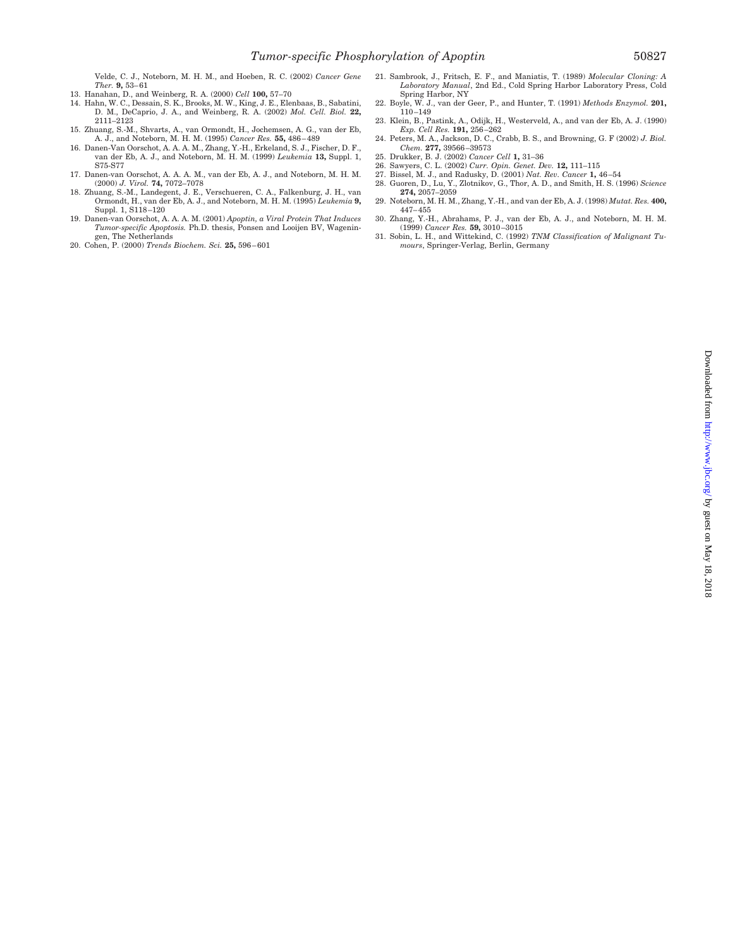Velde, C. J., Noteborn, M. H. M., and Hoeben, R. C. (2002) *Cancer Gene Ther.* **9,** 53–61

- 13. Hanahan, D., and Weinberg, R. A. (2000) *Cell* **100,** 57–70
- 14. Hahn, W. C., Dessain, S. K., Brooks, M. W., King, J. E., Elenbaas, B., Sabatini, D. M., DeCaprio, J. A., and Weinberg, R. A. (2002) *Mol. Cell. Biol.* **22,** 2111–2123
- 15. Zhuang, S.-M., Shvarts, A., van Ormondt, H., Jochemsen, A. G., van der Eb, A. J., and Noteborn, M. H. M. (1995) *Cancer Res.* **55,** 486–489
- 16. Danen-Van Oorschot, A. A. A. M., Zhang, Y.-H., Erkeland, S. J., Fischer, D. F., van der Eb, A. J., and Noteborn, M. H. M. (1999) *Leukemia* **13,** Suppl. 1, S75-S77
- 17. Danen-van Oorschot, A. A. A. M., van der Eb, A. J., and Noteborn, M. H. M. (2000) *J. Virol.* **74,** 7072–7078
- 18. Zhuang, S.-M., Landegent, J. E., Verschueren, C. A., Falkenburg, J. H., van Ormondt, H., van der Eb, A. J., and Noteborn, M. H. M. (1995) *Leukemia* **9,** Suppl. 1, S118–120
- 19. Danen-van Oorschot, A. A. A. M. (2001) *Apoptin, a Viral Protein That Induces Tumor-specific Apoptosis.* Ph.D. thesis, Ponsen and Looijen BV, Wageningen, The Netherlands
- 20. Cohen, P. (2000) *Trends Biochem. Sci.* **25,** 596–601
- 21. Sambrook, J., Fritsch, E. F., and Maniatis, T. (1989) *Molecular Cloning: A Laboratory Manual*, 2nd Ed., Cold Spring Harbor Laboratory Press, Cold Spring Harbor, NY
- 22. Boyle, W. J., van der Geer, P., and Hunter, T. (1991) *Methods Enzymol.* **201,** 110–149
- 23. Klein, B., Pastink, A., Odijk, H., Westerveld, A., and van der Eb, A. J. (1990)
- *Exp. Cell Res.* **191,** 256–262 24. Peters, M. A., Jackson, D. C., Crabb, B. S., and Browning, G. F (2002) *J. Biol. Chem.* **277,** 39566–39573
- 25. Drukker, B. J. (2002) *Cancer Cell* **1,** 31–36
- 26. Sawyers, C. L. (2002) *Curr. Opin. Genet. Dev.* **12,** 111–115
- 27. Bissel, M. J., and Radusky, D. (2001) *Nat. Rev. Cancer* **1,** 46–54
- 28. Guoren, D., Lu, Y., Zlotnikov, G., Thor, A. D., and Smith, H. S. (1996) *Science* **274,** 2057–2059 29. Noteborn, M. H. M., Zhang, Y.-H., and van der Eb, A. J. (1998) *Mutat. Res.* **400,**
- 447–455 30. Zhang, Y.-H., Abrahams, P. J., van der Eb, A. J., and Noteborn, M. H. M. (1999) *Cancer Res.* **59,** 3010–3015
- 31. Sobin, L. H., and Wittekind, C. (1992) *TNM Classification of Malignant Tumours*, Springer-Verlag, Berlin, Germany